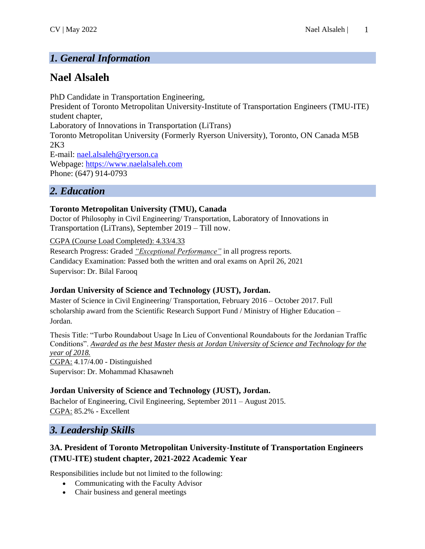# *1. General Information*

# **Nael Alsaleh**

PhD Candidate in Transportation Engineering, President of Toronto Metropolitan University-Institute of Transportation Engineers (TMU-ITE) student chapter, Laboratory of Innovations in Transportation (LiTrans) Toronto Metropolitan University (Formerly Ryerson University), Toronto, ON Canada M5B 2K3 E-mail: [nael.alsaleh@ryerson.ca](mailto:nael.alsaleh@ryerson.ca) Webpage: [https://www.naelalsaleh.com](https://www.naelalsaleh.com/) Phone: (647) 914-0793

### *2. Education*

### **Toronto Metropolitan University (TMU), Canada**

Doctor of Philosophy in Civil Engineering/ Transportation, Laboratory of Innovations in Transportation (LiTrans), September 2019 – Till now.

CGPA (Course Load Completed): 4.33/4.33

Research Progress: Graded *"Exceptional Performance"* in all progress reports. Candidacy Examination: Passed both the written and oral exams on April 26, 2021 Supervisor: Dr. Bilal Farooq

### **Jordan University of Science and Technology (JUST), Jordan.**

Master of Science in Civil Engineering/ Transportation, February 2016 – October 2017. Full scholarship award from the Scientific Research Support Fund / Ministry of Higher Education – Jordan.

Thesis Title: "Turbo Roundabout Usage In Lieu of Conventional Roundabouts for the Jordanian Traffic Conditions". *Awarded as the best Master thesis at Jordan University of Science and Technology for the year of 2018.* CGPA: 4.17/4.00 - Distinguished Supervisor: Dr. Mohammad Khasawneh

### **Jordan University of Science and Technology (JUST), Jordan.**

Bachelor of Engineering, Civil Engineering, September 2011 – August 2015. CGPA: 85.2% - Excellent

# *3. Leadership Skills*

### **3A. President of Toronto Metropolitan University-Institute of Transportation Engineers (TMU-ITE) student chapter, 2021-2022 Academic Year**

Responsibilities include but not limited to the following:

- Communicating with the Faculty Advisor
- Chair business and general meetings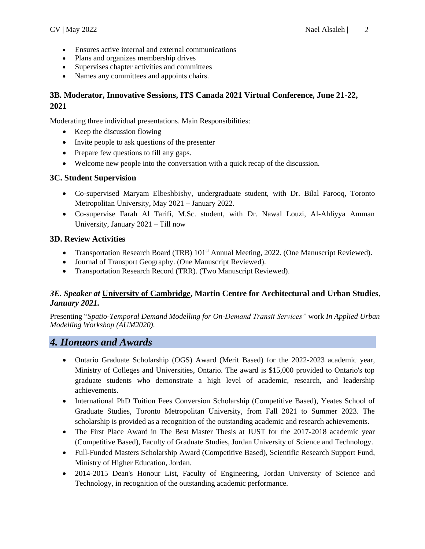- Ensures active internal and external communications
- Plans and organizes membership drives
- Supervises chapter activities and committees
- Names any committees and appoints chairs.

### **3B. Moderator, Innovative Sessions, ITS Canada 2021 Virtual Conference, June 21-22, 2021**

Moderating three individual presentations. Main Responsibilities:

- Keep the discussion flowing
- Invite people to ask questions of the presenter
- Prepare few questions to fill any gaps.
- Welcome new people into the conversation with a quick recap of the discussion.

#### **3C. Student Supervision**

- Co-supervised Maryam Elbeshbishy, undergraduate student, with Dr. Bilal Farooq, Toronto Metropolitan University, May 2021 – January 2022.
- Co-supervise Farah Al Tarifi, M.Sc. student, with Dr. Nawal Louzi, Al-Ahliyya Amman University, January 2021 – Till now

#### **3D. Review Activities**

- Transportation Research Board (TRB) 101<sup>st</sup> Annual Meeting, 2022. (One Manuscript Reviewed).
- Journal of Transport Geography. (One Manuscript Reviewed).
- Transportation Research Record (TRR). (Two Manuscript Reviewed).

#### *3E. Speaker at* **University of Cambridge, Martin Centre for Architectural and Urban Studies***, January 2021.*

Presenting "*Spatio-Temporal Demand Modelling for On-Demand Transit Services"* work *In Applied Urban Modelling Workshop (AUM2020).*

### *4. Honuors and Awards*

- Ontario Graduate Scholarship (OGS) Award (Merit Based) for the 2022-2023 academic year, Ministry of Colleges and Universities, Ontario. The award is \$15,000 provided to Ontario's top graduate students who demonstrate a high level of academic, research, and leadership achievements.
- International PhD Tuition Fees Conversion Scholarship (Competitive Based), Yeates School of Graduate Studies, Toronto Metropolitan University, from Fall 2021 to Summer 2023. The scholarship is provided as a recognition of the outstanding academic and research achievements.
- The First Place Award in The Best Master Thesis at JUST for the 2017-2018 academic year (Competitive Based), Faculty of Graduate Studies, Jordan University of Science and Technology.
- Full-Funded Masters Scholarship Award (Competitive Based), Scientific Research Support Fund, Ministry of Higher Education, Jordan.
- 2014-2015 Dean's Honour List, Faculty of Engineering, Jordan University of Science and Technology, in recognition of the outstanding academic performance.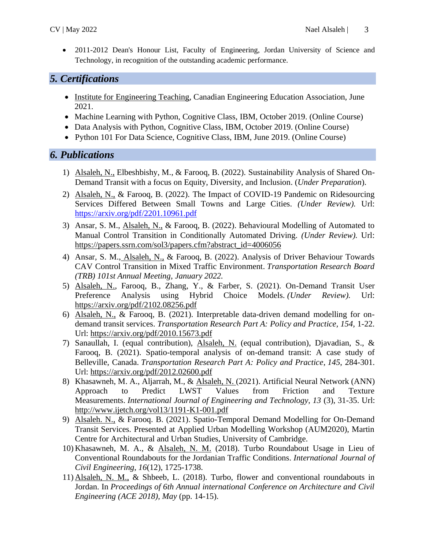• 2011-2012 Dean's Honour List, Faculty of Engineering, Jordan University of Science and Technology, in recognition of the outstanding academic performance.

# *5. Certifications*

- Institute for Engineering Teaching, Canadian Engineering Education Association, June 2021.
- Machine Learning with Python, Cognitive Class, IBM, October 2019. (Online Course)
- Data Analysis with Python, Cognitive Class, IBM, October 2019. (Online Course)
- Python 101 For Data Science, Cognitive Class, IBM, June 2019. (Online Course)

# *6. Publications*

- 1) Alsaleh, N., Elbeshbishy, M., & Farooq, B. (2022). Sustainability Analysis of Shared On-Demand Transit with a focus on Equity, Diversity, and Inclusion. (*Under Preparation*).
- 2) Alsaleh, N., & Farooq, B. (2022). The Impact of COVID-19 Pandemic on Ridesourcing Services Differed Between Small Towns and Large Cities. *(Under Review).* Url: <https://arxiv.org/pdf/2201.10961.pdf>
- 3) Ansar, S. M., Alsaleh, N., & Farooq, B. (2022). Behavioural Modelling of Automated to Manual Control Transition in Conditionally Automated Driving. *(Under Review).* Url: [https://papers.ssrn.com/sol3/papers.cfm?abstract\\_id=4006056](https://papers.ssrn.com/sol3/papers.cfm?abstract_id=4006056)
- 4) Ansar, S. M., Alsaleh, N., & Farooq, B. (2022). Analysis of Driver Behaviour Towards CAV Control Transition in Mixed Traffic Environment. *Transportation Research Board (TRB) 101st Annual Meeting, January 2022.*
- 5) Alsaleh, N., Farooq, B., Zhang, Y., & Farber, S. (2021). On-Demand Transit User Preference Analysis using Hybrid Choice Models. *(Under Review).* Url: <https://arxiv.org/pdf/2102.08256.pdf>
- 6) Alsaleh, N., & Farooq, B. (2021). Interpretable data-driven demand modelling for ondemand transit services. *Transportation Research Part A: Policy and Practice, 154,* 1-22. Url:<https://arxiv.org/pdf/2010.15673.pdf>
- 7) Sanaullah, I. (equal contribution), Alsaleh, N. (equal contribution), Djavadian, S., & Farooq, B. (2021). Spatio-temporal analysis of on-demand transit: A case study of Belleville, Canada. *Transportation Research Part A: Policy and Practice*, *145*, 284-301. Url:<https://arxiv.org/pdf/2012.02600.pdf>
- 8) Khasawneh, M. A., Aljarrah, M., & Alsaleh, N. (2021). Artificial Neural Network (ANN) Approach to Predict LWST Values from Friction and Texture Measurements. *International Journal of Engineering and Technology, 13* (3), 31-35. Url: <http://www.ijetch.org/vol13/1191-K1-001.pdf>
- 9) Alsaleh. N., & Farooq. B. (2021). Spatio-Temporal Demand Modelling for On-Demand Transit Services. Presented at Applied Urban Modelling Workshop (AUM2020), Martin Centre for Architectural and Urban Studies, University of Cambridge.
- 10) Khasawneh, M. A., & Alsaleh, N. M. (2018). Turbo Roundabout Usage in Lieu of Conventional Roundabouts for the Jordanian Traffic Conditions. *International Journal of Civil Engineering*, *16*(12), 1725-1738.
- 11) Alsaleh, N. M., & Shbeeb, L. (2018). Turbo, flower and conventional roundabouts in Jordan. In *Proceedings of 6th Annual international Conference on Architecture and Civil Engineering (ACE 2018), May* (pp. 14-15).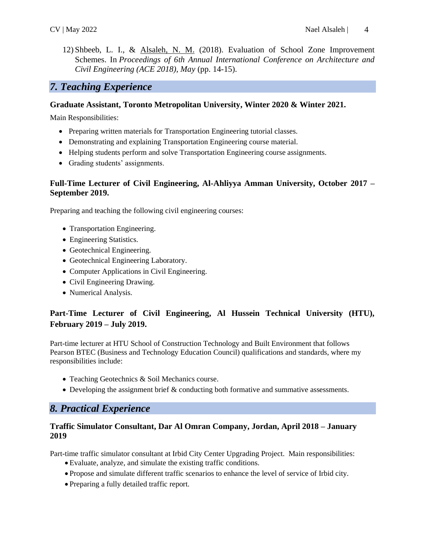12) Shbeeb, L. I., & Alsaleh, N. M. (2018). Evaluation of School Zone Improvement Schemes. In *Proceedings of 6th Annual International Conference on Architecture and Civil Engineering (ACE 2018), May* (pp. 14-15).

### *7. Teaching Experience*

#### **Graduate Assistant, Toronto Metropolitan University, Winter 2020 & Winter 2021.**

Main Responsibilities:

- Preparing written materials for Transportation Engineering tutorial classes.
- Demonstrating and explaining Transportation Engineering course material.
- Helping students perform and solve Transportation Engineering course assignments.
- Grading students' assignments.

#### **Full-Time Lecturer of Civil Engineering, Al-Ahliyya Amman University, October 2017 – September 2019.**

Preparing and teaching the following civil engineering courses:

- Transportation Engineering.
- Engineering Statistics.
- Geotechnical Engineering.
- Geotechnical Engineering Laboratory.
- Computer Applications in Civil Engineering.
- Civil Engineering Drawing.
- Numerical Analysis.

### **Part-Time Lecturer of Civil Engineering, Al Hussein Technical University (HTU), February 2019 – July 2019.**

Part-time lecturer at HTU School of Construction Technology and Built Environment that follows Pearson BTEC (Business and Technology Education Council) qualifications and standards, where my responsibilities include:

- Teaching Geotechnics & Soil Mechanics course.
- Developing the assignment brief & conducting both formative and summative assessments.

# *8. Practical Experience*

#### **Traffic Simulator Consultant, Dar Al Omran Company, Jordan, April 2018 – January 2019**

Part-time traffic simulator consultant at Irbid City Center Upgrading Project. Main responsibilities:

- Evaluate, analyze, and simulate the existing traffic conditions.
- Propose and simulate different traffic scenarios to enhance the level of service of Irbid city.
- Preparing a fully detailed traffic report.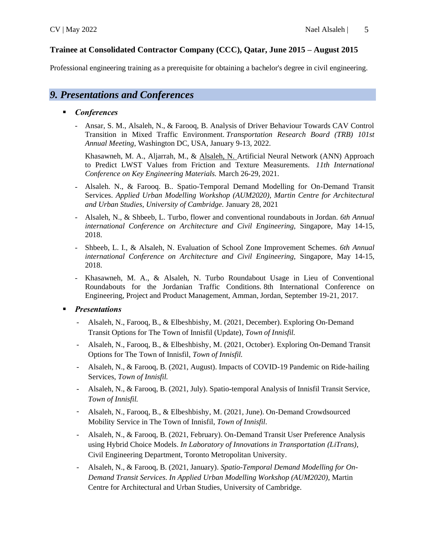#### **Trainee at Consolidated Contractor Company (CCC), Qatar, June 2015 – August 2015**

Professional engineering training as a prerequisite for obtaining a bachelor's degree in civil engineering.

# *9. Presentations and Conferences*

#### ▪ *Conferences*

- Ansar, S. M., Alsaleh, N., & Farooq, B. Analysis of Driver Behaviour Towards CAV Control Transition in Mixed Traffic Environment. *Transportation Research Board (TRB) 101st Annual Meeting,* Washington DC, USA, January 9-13, 2022.

Khasawneh, M. A., Aljarrah, M., & Alsaleh, N. Artificial Neural Network (ANN) Approach to Predict LWST Values from Friction and Texture Measurements. *11th International Conference on Key Engineering Materials.* March 26-29, 2021.

- Alsaleh. N., & Farooq. B.. Spatio-Temporal Demand Modelling for On-Demand Transit Services. *Applied Urban Modelling Workshop (AUM2020), Martin Centre for Architectural and Urban Studies, University of Cambridge.* January 28, 2021
- Alsaleh, N., & Shbeeb, L. Turbo, flower and conventional roundabouts in Jordan. *6th Annual international Conference on Architecture and Civil Engineering,* Singapore, May 14-15, 2018.
- Shbeeb, L. I., & Alsaleh, N. Evaluation of School Zone Improvement Schemes. *6th Annual international Conference on Architecture and Civil Engineering,* Singapore, May 14-15, 2018.
- Khasawneh, M. A., & Alsaleh, N. Turbo Roundabout Usage in Lieu of Conventional Roundabouts for the Jordanian Traffic Conditions. 8th International Conference on Engineering, Project and Product Management, Amman, Jordan, September 19-21, 2017.

#### ▪ *Presentations*

- Alsaleh, N., Farooq, B., & Elbeshbishy, M. (2021, December). Exploring On-Demand Transit Options for The Town of Innisfil (Update), *Town of Innisfil.*
- Alsaleh, N., Farooq, B., & Elbeshbishy, M. (2021, October). Exploring On-Demand Transit Options for The Town of Innisfil, *Town of Innisfil.*
- Alsaleh, N., & Farooq, B. (2021, August). Impacts of COVID-19 Pandemic on Ride-hailing Services, *Town of Innisfil.*
- Alsaleh, N., & Farooq, B. (2021, July). Spatio-temporal Analysis of Innisfil Transit Service, *Town of Innisfil.*
- Alsaleh, N., Farooq, B., & Elbeshbishy, M. (2021, June). On-Demand Crowdsourced Mobility Service in The Town of Innisfil, *Town of Innisfil.*
- Alsaleh, N., & Farooq, B. (2021, February). On-Demand Transit User Preference Analysis using Hybrid Choice Models. *In Laboratory of Innovations in Transportation (LiTrans),* Civil Engineering Department, Toronto Metropolitan University.
- Alsaleh, N., & Farooq, B. (2021, January). *Spatio-Temporal Demand Modelling for On-Demand Transit Services. In Applied Urban Modelling Workshop (AUM2020),* Martin Centre for Architectural and Urban Studies, University of Cambridge.